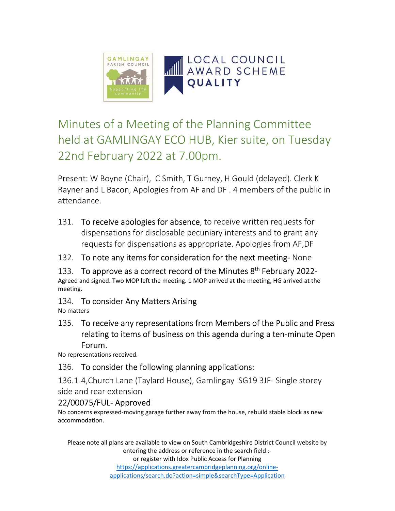

# Minutes of a Meeting of the Planning Committee held at GAMLINGAY ECO HUB, Kier suite, on Tuesday 22nd February 2022 at 7.00pm.

Present: W Boyne (Chair), C Smith, T Gurney, H Gould (delayed). Clerk K Rayner and L Bacon, Apologies from AF and DF . 4 members of the public in attendance.

- 131. To receive apologies for absence, to receive written requests for dispensations for disclosable pecuniary interests and to grant any requests for dispensations as appropriate. Apologies from AF,DF
- 132. To note any items for consideration for the next meeting- None
- 133. To approve as a correct record of the Minutes  $8<sup>th</sup>$  February 2022-Agreed and signed. Two MOP left the meeting. 1 MOP arrived at the meeting, HG arrived at the meeting.
- 134. To consider Any Matters Arising

No matters

135. To receive any representations from Members of the Public and Press relating to items of business on this agenda during a ten-minute Open Forum.

No representations received.

# 136. To consider the following planning applications:

136.1 4,Church Lane (Taylard House), Gamlingay SG19 3JF- Single storey side and rear extension

# 22/00075/FUL- Approved

No concerns expressed-moving garage further away from the house, rebuild stable block as new accommodation.

Please note all plans are available to view on South Cambridgeshire District Council website by entering the address or reference in the search field :-

or register with Idox Public Access for Planning https://applications.greatercambridgeplanning.org/onlineapplications/search.do?action=simple&searchType=Application